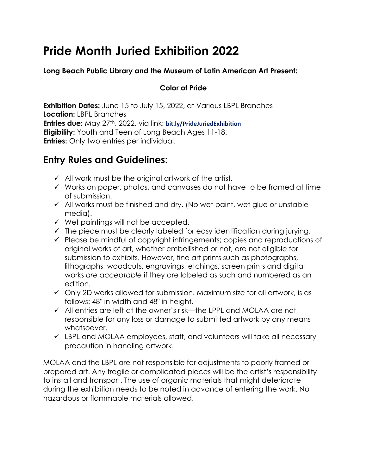# **Pride Month Juried Exhibition 2022**

#### **Long Beach Public Library and the Museum of Latin American Art Present:**

#### **Color of Pride**

**Exhibition Dates:** June 15 to July 15, 2022, at Various LBPL Branches **Location:** LBPL Branches **Entries due:** May 27th, 2022, via link: **bit.ly/PrideJuriedExhibition Eligibility:** Youth and Teen of Long Beach Ages 11-18. **Entries:** Only two entries per individual.

### **Entry Rules and Guidelines:**

- $\checkmark$  All work must be the original artwork of the artist.
- $\checkmark$  Works on paper, photos, and canvases do not have to be framed at time of submission.
- $\checkmark$  All works must be finished and dry. (No wet paint, wet glue or unstable media).
- $\checkmark$  Wet paintings will not be accepted.
- $\checkmark$  The piece must be clearly labeled for easy identification during jurying.
- $\checkmark$  Please be mindful of copyright infringements; copies and reproductions of original works of art, whether embellished or not, are not eligible for submission to exhibits. However, fine art prints such as photographs, lithographs, woodcuts, engravings, etchings, screen prints and digital works *are acceptable* if they are labeled as such and numbered as an edition.
- $\checkmark$  Only 2D works allowed for submission. Maximum size for all artwork, is as follows: 48″ in width and 48″ in height**.**
- $\checkmark$  All entries are left at the owner's risk—the LPPL and MOLAA are not responsible for any loss or damage to submitted artwork by any means whatsoever.
- $\checkmark$  LBPL and MOLAA employees, staff, and volunteers will take all necessary precaution in handling artwork.

MOLAA and the LBPL are not responsible for adjustments to poorly framed or prepared art. Any fragile or complicated pieces will be the artist's responsibility to install and transport. The use of organic materials that might deteriorate during the exhibition needs to be noted in advance of entering the work. No hazardous or flammable materials allowed.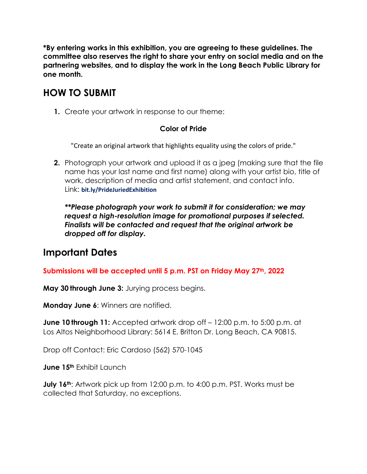**\*By entering works in this exhibition, you are agreeing to these guidelines. The committee also reserves the right to share your entry on social media and on the partnering websites, and to display the work in the Long Beach Public Library for one month.** 

### **HOW TO SUBMIT**

**1.** Create your artwork in response to our theme:

#### **Color of Pride**

"Create an original artwork that highlights equality using the colors of pride."

**2.** Photograph your artwork and upload it as a jpeg (making sure that the file name has your last name and first name) along with your artist bio, title of work, description of media and artist statement, and contact info. Link: **bit.ly/PrideJuriedExhibition**

*\*\*Please photograph your work to submit it for consideration; we may request a high-resolution image for promotional purposes if selected. Finalists will be contacted and request that the original artwork be dropped off for display.* 

### **Important Dates**

#### **Submissions will be accepted until 5 p.m. PST on Friday May 27th, 2022**

**May 30 through June 3:** Jurying process begins.

**Monday June 6**: Winners are notified.

**June 10 through 11:** Accepted artwork drop off – 12:00 p.m. to 5:00 p.m. at Los Altos Neighborhood Library: 5614 E. Britton Dr. Long Beach, CA 90815.

Drop off Contact: Eric Cardoso (562) 570-1045

**June 15th** Exhibit Launch

**July 16<sup>th</sup>:** Artwork pick up from 12:00 p.m. to 4:00 p.m. PST. Works must be collected that Saturday, no exceptions.